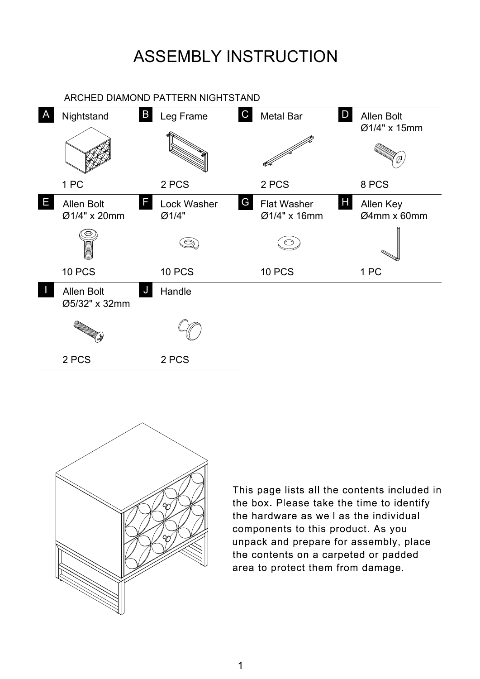## ASSEMBLY INSTRUCTION



This page lists all the contents included in the box. Please take the time to identify the hardware as well as the individual components to this product. As you unpack and prepare for assembly, place the contents on a carpeted or padded area to protect them from damage.

1

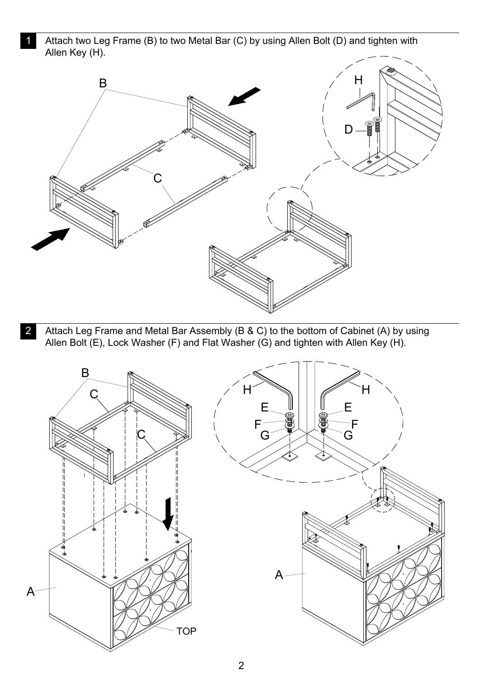Attach two Leg Frame (B) to two Metal Bar (C) by using Allen Bolt (D) and tighten with 1 Allen Key (H).





Attach Leg Frame and Metal Bar Assembly (B & C) to the bottom of Cabinet (A) by using 2 Allen Bolt (E), Lock Washer (F) and Flat Washer (G) and tighten with Allen Key (H).

2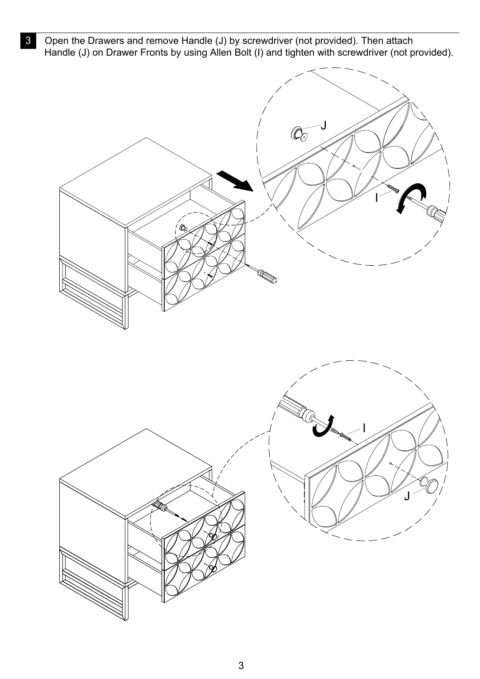Open the Drawers and remove Handle (J) by screwdriver (not provided). Then attach 3 Handle (J) on Drawer Fronts by using Allen Bolt (I) and tighten with screwdriver (not provided).